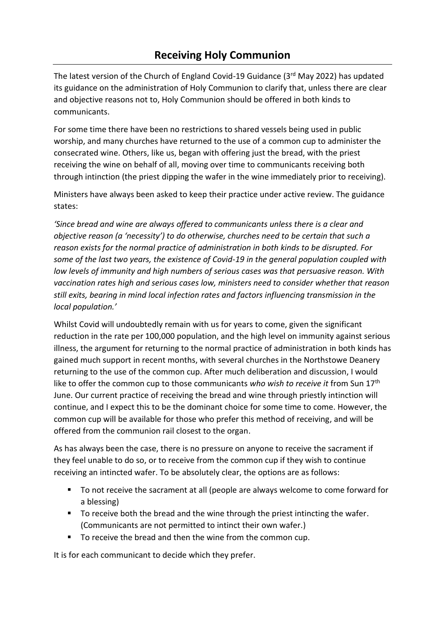## **Receiving Holy Communion**

The latest version of the Church of England Covid-19 Guidance (3rd May 2022) has updated its guidance on the administration of Holy Communion to clarify that, unless there are clear and objective reasons not to, Holy Communion should be offered in both kinds to communicants.

For some time there have been no restrictions to shared vessels being used in public worship, and many churches have returned to the use of a common cup to administer the consecrated wine. Others, like us, began with offering just the bread, with the priest receiving the wine on behalf of all, moving over time to communicants receiving both through intinction (the priest dipping the wafer in the wine immediately prior to receiving).

Ministers have always been asked to keep their practice under active review. The guidance states:

*'Since bread and wine are always offered to communicants unless there is a clear and objective reason (a 'necessity') to do otherwise, churches need to be certain that such a reason exists for the normal practice of administration in both kinds to be disrupted. For some of the last two years, the existence of Covid-19 in the general population coupled with low levels of immunity and high numbers of serious cases was that persuasive reason. With vaccination rates high and serious cases low, ministers need to consider whether that reason still exits, bearing in mind local infection rates and factors influencing transmission in the local population.'* 

Whilst Covid will undoubtedly remain with us for years to come, given the significant reduction in the rate per 100,000 population, and the high level on immunity against serious illness, the argument for returning to the normal practice of administration in both kinds has gained much support in recent months, with several churches in the Northstowe Deanery returning to the use of the common cup. After much deliberation and discussion, I would like to offer the common cup to those communicants *who wish to receive it* from Sun 17th June. Our current practice of receiving the bread and wine through priestly intinction will continue, and I expect this to be the dominant choice for some time to come. However, the common cup will be available for those who prefer this method of receiving, and will be offered from the communion rail closest to the organ.

As has always been the case, there is no pressure on anyone to receive the sacrament if they feel unable to do so, or to receive from the common cup if they wish to continue receiving an intincted wafer. To be absolutely clear, the options are as follows:

- To not receive the sacrament at all (people are always welcome to come forward for a blessing)
- To receive both the bread and the wine through the priest intincting the wafer. (Communicants are not permitted to intinct their own wafer.)
- To receive the bread and then the wine from the common cup.

It is for each communicant to decide which they prefer.